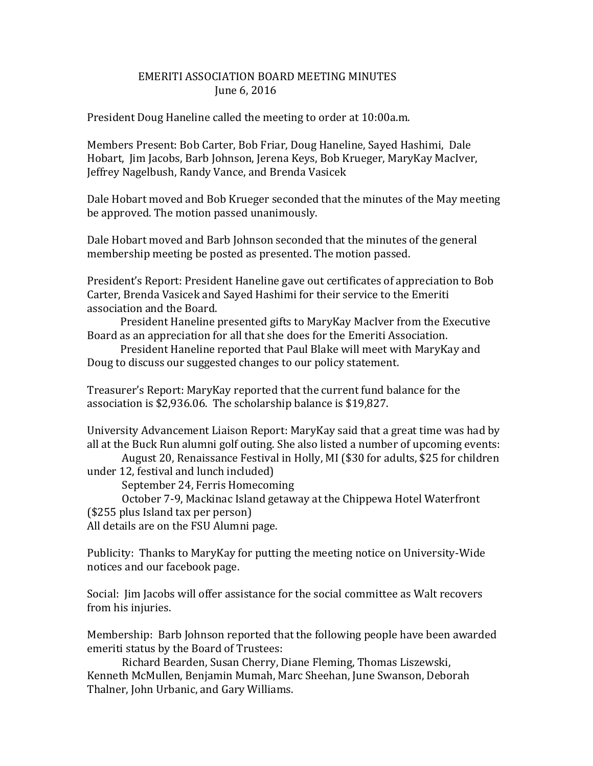## EMERITI ASSOCIATION BOARD MEETING MINUTES June 6, 2016

President Doug Haneline called the meeting to order at 10:00a.m.

Members Present: Bob Carter, Bob Friar, Doug Haneline, Sayed Hashimi, Dale Hobart, Jim Jacobs, Barb Johnson, Jerena Keys, Bob Krueger, MaryKay MacIver, Jeffrey Nagelbush, Randy Vance, and Brenda Vasicek

Dale Hobart moved and Bob Krueger seconded that the minutes of the May meeting be approved. The motion passed unanimously.

Dale Hobart moved and Barb Johnson seconded that the minutes of the general membership meeting be posted as presented. The motion passed.

President's Report: President Haneline gave out certificates of appreciation to Bob Carter, Brenda Vasicek and Sayed Hashimi for their service to the Emeriti association and the Board.

 President Haneline presented gifts to MaryKay MacIver from the Executive Board as an appreciation for all that she does for the Emeriti Association.

 President Haneline reported that Paul Blake will meet with MaryKay and Doug to discuss our suggested changes to our policy statement.

Treasurer's Report: MaryKay reported that the current fund balance for the association is \$2,936.06. The scholarship balance is \$19,827.

University Advancement Liaison Report: MaryKay said that a great time was had by all at the Buck Run alumni golf outing. She also listed a number of upcoming events:

August 20, Renaissance Festival in Holly, MI (\$30 for adults, \$25 for children under 12, festival and lunch included)

September 24, Ferris Homecoming

October 7-9, Mackinac Island getaway at the Chippewa Hotel Waterfront (\$255 plus Island tax per person)

All details are on the FSU Alumni page.

Publicity: Thanks to MaryKay for putting the meeting notice on University-Wide notices and our facebook page.

Social: Jim Jacobs will offer assistance for the social committee as Walt recovers from his injuries.

Membership: Barb Johnson reported that the following people have been awarded emeriti status by the Board of Trustees:

Richard Bearden, Susan Cherry, Diane Fleming, Thomas Liszewski, Kenneth McMullen, Benjamin Mumah, Marc Sheehan, June Swanson, Deborah Thalner, John Urbanic, and Gary Williams.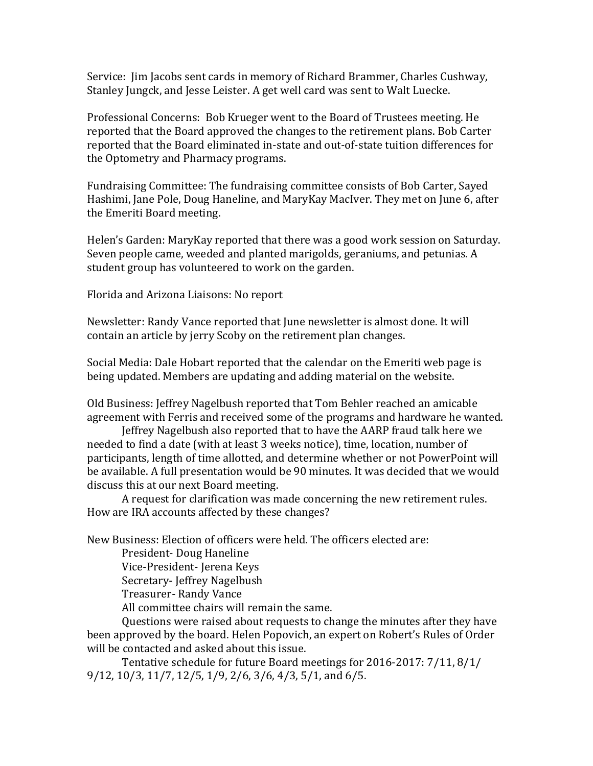Service: Jim Jacobs sent cards in memory of Richard Brammer, Charles Cushway, Stanley Jungck, and Jesse Leister. A get well card was sent to Walt Luecke.

Professional Concerns: Bob Krueger went to the Board of Trustees meeting. He reported that the Board approved the changes to the retirement plans. Bob Carter reported that the Board eliminated in-state and out-of-state tuition differences for the Optometry and Pharmacy programs.

Fundraising Committee: The fundraising committee consists of Bob Carter, Sayed Hashimi, Jane Pole, Doug Haneline, and MaryKay MacIver. They met on June 6, after the Emeriti Board meeting.

Helen's Garden: MaryKay reported that there was a good work session on Saturday. Seven people came, weeded and planted marigolds, geraniums, and petunias. A student group has volunteered to work on the garden.

Florida and Arizona Liaisons: No report

Newsletter: Randy Vance reported that June newsletter is almost done. It will contain an article by jerry Scoby on the retirement plan changes.

Social Media: Dale Hobart reported that the calendar on the Emeriti web page is being updated. Members are updating and adding material on the website.

Old Business: Jeffrey Nagelbush reported that Tom Behler reached an amicable agreement with Ferris and received some of the programs and hardware he wanted.

Jeffrey Nagelbush also reported that to have the AARP fraud talk here we needed to find a date (with at least 3 weeks notice), time, location, number of participants, length of time allotted, and determine whether or not PowerPoint will be available. A full presentation would be 90 minutes. It was decided that we would discuss this at our next Board meeting.

A request for clarification was made concerning the new retirement rules. How are IRA accounts affected by these changes?

New Business: Election of officers were held. The officers elected are:

President- Doug Haneline

Vice-President- Jerena Keys

Secretary- Jeffrey Nagelbush

Treasurer- Randy Vance

All committee chairs will remain the same.

Questions were raised about requests to change the minutes after they have been approved by the board. Helen Popovich, an expert on Robert's Rules of Order will be contacted and asked about this issue.

Tentative schedule for future Board meetings for 2016-2017: 7/11, 8/1/ 9/12, 10/3, 11/7, 12/5, 1/9, 2/6, 3/6, 4/3, 5/1, and 6/5.